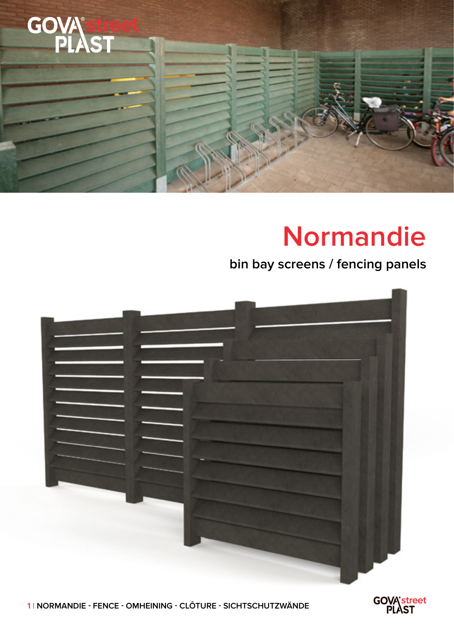

## **Normandie**

## **bin bay screens / fencing panels**





**1 | NORMANDIE - FENCE - OMHEINING - CLÔTURE - SICHTSCHUTZWÄNDE**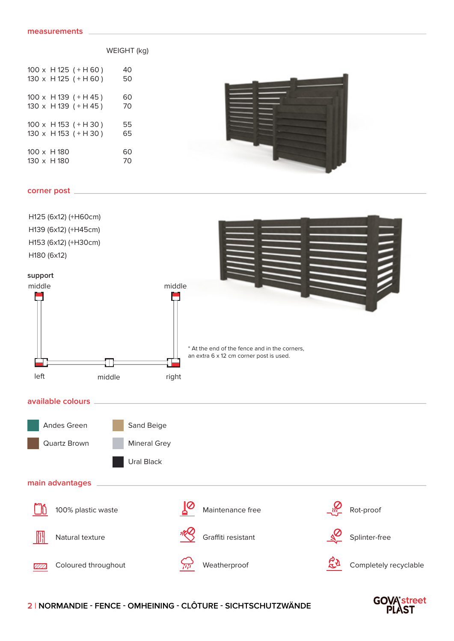## WEIGHT (kg)

|                            | 100 x H 125 (+H 60)<br>130 x H 125 (+H 60)  | 40<br>50 |
|----------------------------|---------------------------------------------|----------|
|                            | 100 x H 139 (+H 45)<br>130 x H 139 (+ H 45) | 60<br>70 |
|                            | 100 x H 153 (+H 30)<br>130 x H 153 (+H 30)  | 55<br>65 |
| 100 x H 180<br>130 x H 180 |                                             | 60<br>70 |



## **corner post**